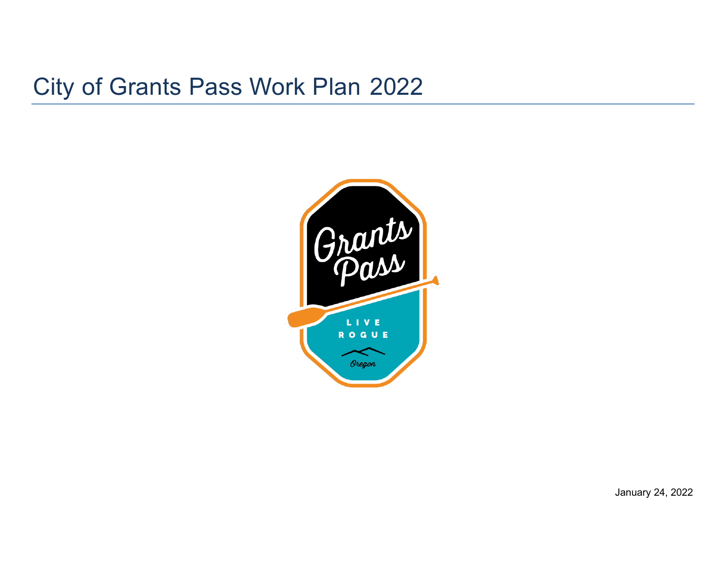# City of Grants Pass Work Plan 2022



January 24, 2022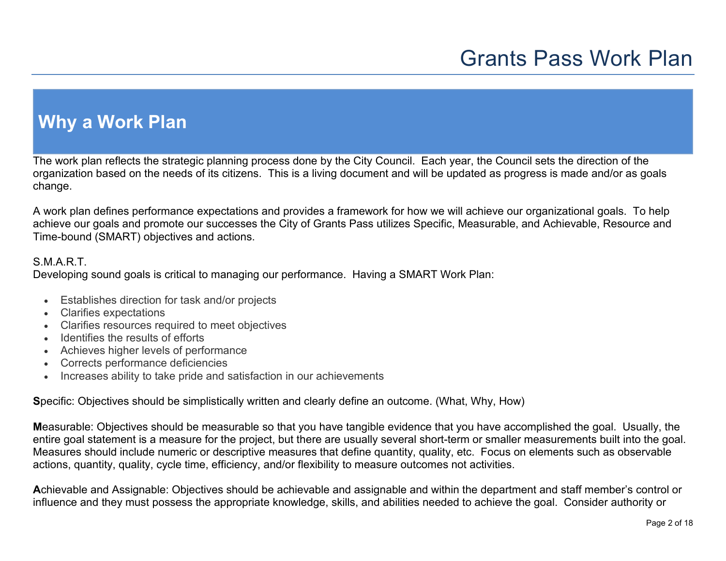### **Why a Work Plan**

The work plan reflects the strategic planning process done by the City Council. Each year, the Council sets the direction of the organization based on the needs of its citizens. This is a living document and will be updated as progress is made and/or as goals change.

A work plan defines performance expectations and provides a framework for how we will achieve our organizational goals. To help achieve our goals and promote our successes the City of Grants Pass utilizes Specific, Measurable, and Achievable, Resource and Time-bound (SMART) objectives and actions.

#### S.M.A.R.T.

Developing sound goals is critical to managing our performance. Having a SMART Work Plan:

- Establishes direction for task and/or projects
- Clarifies expectations
- Clarifies resources required to meet objectives
- Identifies the results of efforts
- Achieves higher levels of performance
- Corrects performance deficiencies
- Increases ability to take pride and satisfaction in our achievements

**S**pecific: Objectives should be simplistically written and clearly define an outcome. (What, Why, How)

**M**easurable: Objectives should be measurable so that you have tangible evidence that you have accomplished the goal. Usually, the entire goal statement is a measure for the project, but there are usually several short-term or smaller measurements built into the goal. Measures should include numeric or descriptive measures that define quantity, quality, etc. Focus on elements such as observable actions, quantity, quality, cycle time, efficiency, and/or flexibility to measure outcomes not activities.

**A**chievable and Assignable: Objectives should be achievable and assignable and within the department and staff member's control or influence and they must possess the appropriate knowledge, skills, and abilities needed to achieve the goal. Consider authority or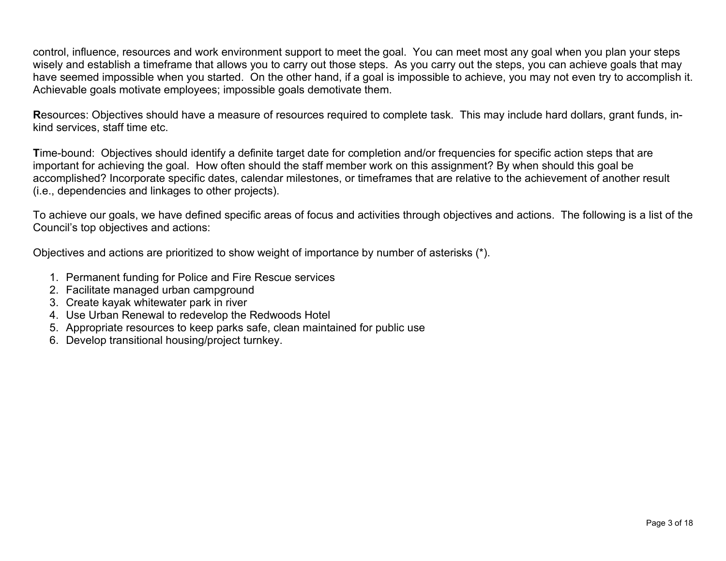control, influence, resources and work environment support to meet the goal. You can meet most any goal when you plan your steps wisely and establish a timeframe that allows you to carry out those steps. As you carry out the steps, you can achieve goals that may have seemed impossible when you started. On the other hand, if a goal is impossible to achieve, you may not even try to accomplish it. Achievable goals motivate employees; impossible goals demotivate them.

**R**esources: Objectives should have a measure of resources required to complete task. This may include hard dollars, grant funds, inkind services, staff time etc.

**T**ime-bound: Objectives should identify a definite target date for completion and/or frequencies for specific action steps that are important for achieving the goal. How often should the staff member work on this assignment? By when should this goal be accomplished? Incorporate specific dates, calendar milestones, or timeframes that are relative to the achievement of another result (i.e., dependencies and linkages to other projects).

To achieve our goals, we have defined specific areas of focus and activities through objectives and actions. The following is a list of the Council's top objectives and actions:

Objectives and actions are prioritized to show weight of importance by number of asterisks (\*).

- 1. Permanent funding for Police and Fire Rescue services
- 2. Facilitate managed urban campground
- 3. Create kayak whitewater park in river
- 4. Use Urban Renewal to redevelop the Redwoods Hotel
- 5. Appropriate resources to keep parks safe, clean maintained for public use
- 6. Develop transitional housing/project turnkey.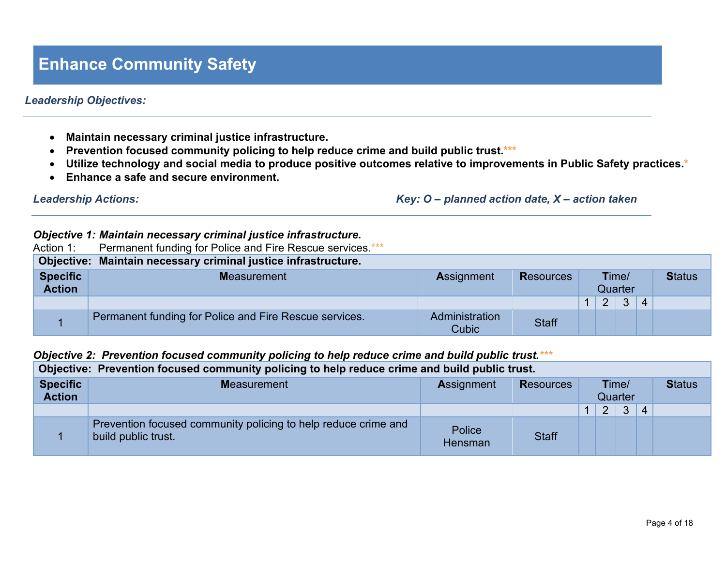### **Enhance Community Safety**

#### *Leadership Objectives:*

- **Maintain necessary criminal justice infrastructure.**
- **Prevention focused community policing to help reduce crime and build public trust.\*\*\***
- **Utilize technology and social media to produce positive outcomes relative to improvements in Public Safety practices.\***
- **Enhance a safe and secure environment.**

*Leadership Actions: Key: O – planned action date, X – action taken*

#### *Objective 1: Maintain necessary criminal justice infrastructure.*

| Action 1:                        | Permanent funding for Police and Fire Rescue services ***      |                         |                  |                  |   |              |                |  |
|----------------------------------|----------------------------------------------------------------|-------------------------|------------------|------------------|---|--------------|----------------|--|
|                                  | Objective: Maintain necessary criminal justice infrastructure. |                         |                  |                  |   |              |                |  |
| <b>Specific</b><br><b>Action</b> | <b>Measurement</b>                                             | <b>Assignment</b>       | <b>Resources</b> | Time/<br>Quarter |   |              | <b>Status</b>  |  |
|                                  |                                                                |                         |                  | 1                | 2 | $\mathbf{3}$ | $\overline{4}$ |  |
|                                  | Permanent funding for Police and Fire Rescue services.         | Administration<br>Cubic | <b>Staff</b>     |                  |   |              |                |  |

#### *Objective 2: Prevention focused community policing to help reduce crime and build public trust.\*\*\**

|                                  | Objective: Prevention focused community policing to help reduce crime and build public trust. |                   |                  |                  |                |   |               |  |  |  |  |  |
|----------------------------------|-----------------------------------------------------------------------------------------------|-------------------|------------------|------------------|----------------|---|---------------|--|--|--|--|--|
| <b>Specific</b><br><b>Action</b> | <b>Measurement</b>                                                                            | Assignment        | <b>Resources</b> | Time/<br>Quarter |                |   | <b>Status</b> |  |  |  |  |  |
|                                  |                                                                                               |                   |                  |                  | $\overline{2}$ | 3 | 4             |  |  |  |  |  |
|                                  | Prevention focused community policing to help reduce crime and<br>build public trust.         | Police<br>Hensman | <b>Staff</b>     |                  |                |   |               |  |  |  |  |  |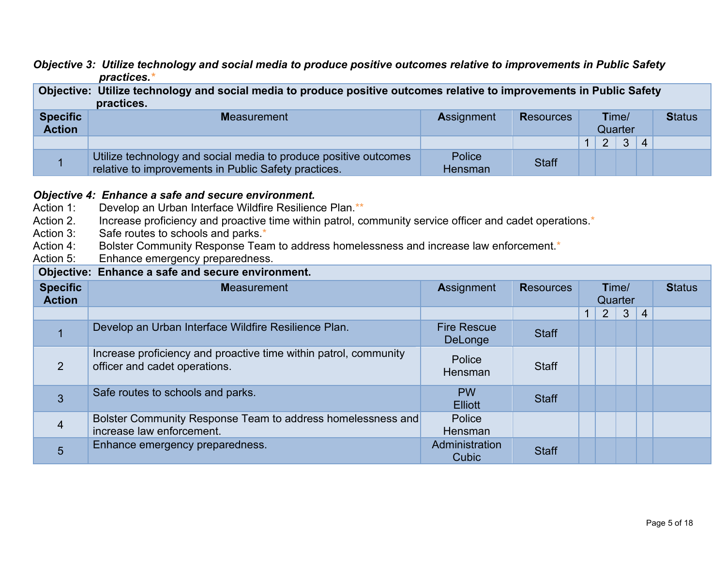#### *Objective 3: Utilize technology and social media to produce positive outcomes relative to improvements in Public Safety practices.\**

|                                  | Objective: Utilize technology and social media to produce positive outcomes relative to improvements in Public Safety<br>practices. |                   |                  |  |                  |   |                |               |  |  |  |
|----------------------------------|-------------------------------------------------------------------------------------------------------------------------------------|-------------------|------------------|--|------------------|---|----------------|---------------|--|--|--|
| <b>Specific</b><br><b>Action</b> | <b>Measurement</b>                                                                                                                  | <b>Assignment</b> | <b>Resources</b> |  | Time/<br>Quarter |   |                | <b>Status</b> |  |  |  |
|                                  |                                                                                                                                     |                   |                  |  | $\overline{2}$   | 3 | $\overline{4}$ |               |  |  |  |
|                                  | Utilize technology and social media to produce positive outcomes<br>relative to improvements in Public Safety practices.            | Police<br>Hensman | <b>Staff</b>     |  |                  |   |                |               |  |  |  |
|                                  |                                                                                                                                     |                   |                  |  |                  |   |                |               |  |  |  |

# **Objective 4: Enhance a safe and secure environment.**<br>Action 1: Develop an Urban Interface Wildfire Resiliene

- Action 1: Develop an Urban Interface Wildfire Resilience Plan.\*\*<br>Action 2. Increase proficiency and proactive time within patrol, co
- Action 2. Increase proficiency and proactive time within patrol, community service officer and cadet operations.<sup>\*</sup><br>Action 3: Safe routes to schools and parks.<sup>\*</sup>
- Safe routes to schools and parks.\*
- Action 4: Bolster Community Response Team to address homelessness and increase law enforcement.\*
- Action 5: Enhance emergency preparedness.

#### **Objective: Enhance a safe and secure environment.**

| <u>o pinto: Emanoo u outo unu oodulo onthommum</u> |                                                                                                   |                               |                  |              |                |                  |                |               |  |  |  |  |
|----------------------------------------------------|---------------------------------------------------------------------------------------------------|-------------------------------|------------------|--------------|----------------|------------------|----------------|---------------|--|--|--|--|
| <b>Specific</b><br><b>Action</b>                   | <b>Measurement</b>                                                                                | <b>Assignment</b>             | <b>Resources</b> |              |                | Time/<br>Quarter |                | <b>Status</b> |  |  |  |  |
|                                                    |                                                                                                   |                               |                  | $\mathbf{1}$ | $\overline{2}$ | 3 <sup>5</sup>   | $\overline{4}$ |               |  |  |  |  |
|                                                    | Develop an Urban Interface Wildfire Resilience Plan.                                              | <b>Fire Rescue</b><br>DeLonge | <b>Staff</b>     |              |                |                  |                |               |  |  |  |  |
| $\overline{2}$                                     | Increase proficiency and proactive time within patrol, community<br>officer and cadet operations. | Police<br>Hensman             | <b>Staff</b>     |              |                |                  |                |               |  |  |  |  |
| 3                                                  | Safe routes to schools and parks.                                                                 | <b>PW</b><br><b>Elliott</b>   | <b>Staff</b>     |              |                |                  |                |               |  |  |  |  |
| $\overline{4}$                                     | Bolster Community Response Team to address homelessness and<br>increase law enforcement.          | Police<br><b>Hensman</b>      |                  |              |                |                  |                |               |  |  |  |  |
| 5                                                  | Enhance emergency preparedness.                                                                   | Administration<br>Cubic       | <b>Staff</b>     |              |                |                  |                |               |  |  |  |  |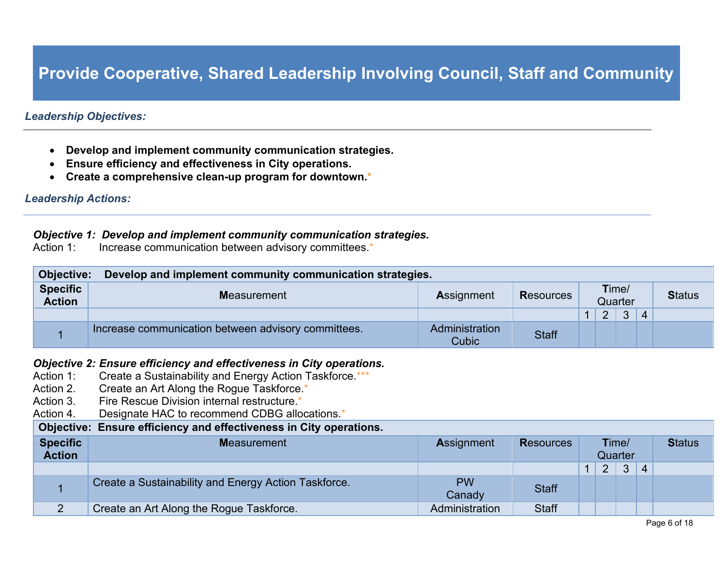### **Provide Cooperative, Shared Leadership Involving Council, Staff and Community**

#### *Leadership Objectives:*

- **Develop and implement community communication strategies.**
- **Ensure efficiency and effectiveness in City operations.**
- **Create a comprehensive clean-up program for downtown.\***

#### *Leadership Actions:*

### *Objective 1: Develop and implement community communication strategies.***<br>Action 1: Increase communication between advisory committees.\***

Increase communication between advisory committees.\*

| <b>Objective:</b>                | Develop and implement community communication strategies. |                                |                  |                  |  |   |                |  |  |  |  |
|----------------------------------|-----------------------------------------------------------|--------------------------------|------------------|------------------|--|---|----------------|--|--|--|--|
| <b>Specific</b><br><b>Action</b> | <b>Measurement</b>                                        | <b>Assignment</b>              | <b>Resources</b> | Time/<br>Quarter |  |   |                |  |  |  |  |
|                                  |                                                           |                                |                  |                  |  | 3 | $\overline{4}$ |  |  |  |  |
|                                  | Increase communication between advisory committees.       | Administration<br><b>Cubic</b> | <b>Staff</b>     |                  |  |   |                |  |  |  |  |

## **Objective 2: Ensure efficiency and effectiveness in City operations.**<br>Action 1: Create a Sustainability and Energy Action Taskforce.\*\*\*

- Create a Sustainability and Energy Action Taskforce.\*\*\*
- Action 2. Create an Art Along the Rogue Taskforce.<sup>\*</sup>
- Action 3. Fire Rescue Division internal restructure.<sup>\*</sup>
- Action 4. Designate HAC to recommend CDBG allocations.\*

#### **Objective: Ensure efficiency and effectiveness in City operations.**

| <b>Specific</b><br><b>Action</b> | <b>Measurement</b>                                   | <b>Assignment</b> | <b>Resources</b> | Time/<br>Quarter |   |              | <b>Status</b>  |  |
|----------------------------------|------------------------------------------------------|-------------------|------------------|------------------|---|--------------|----------------|--|
|                                  |                                                      |                   |                  |                  | 2 | $\mathbf{3}$ | $\overline{4}$ |  |
|                                  | Create a Sustainability and Energy Action Taskforce. | <b>PW</b>         | <b>Staff</b>     |                  |   |              |                |  |
|                                  |                                                      | Canady            |                  |                  |   |              |                |  |
|                                  | Create an Art Along the Rogue Taskforce.             | Administration    | <b>Staff</b>     |                  |   |              |                |  |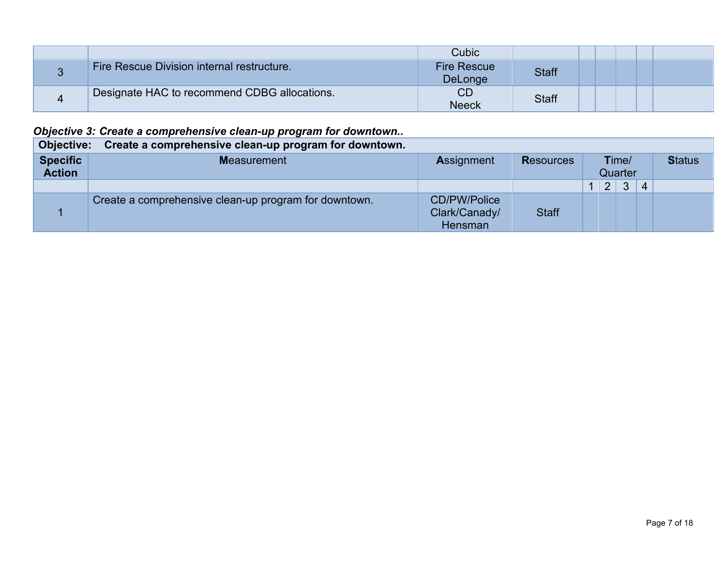|                                              | Cubic                         |              |  |  |
|----------------------------------------------|-------------------------------|--------------|--|--|
| Fire Rescue Division internal restructure.   | <b>Fire Rescue</b><br>DeLonge | <b>Staff</b> |  |  |
| Designate HAC to recommend CDBG allocations. | CD<br><b>Neeck</b>            | <b>Staff</b> |  |  |

### *Objective 3: Create a comprehensive clean-up program for downtown..*

| Objective:                       | Create a comprehensive clean-up program for downtown. |                                                 |              |                  |                |   |                |  |  |  |  |  |  |  |
|----------------------------------|-------------------------------------------------------|-------------------------------------------------|--------------|------------------|----------------|---|----------------|--|--|--|--|--|--|--|
| <b>Specific</b><br><b>Action</b> | <b>Measurement</b>                                    | <b>Assignment</b><br><b>Resources</b>           |              | Time/<br>Quarter |                |   |                |  |  |  |  |  |  |  |
|                                  |                                                       |                                                 |              |                  | $\overline{2}$ | 3 | $\overline{4}$ |  |  |  |  |  |  |  |
|                                  | Create a comprehensive clean-up program for downtown. | <b>CD/PW/Police</b><br>Clark/Canady/<br>Hensman | <b>Staff</b> |                  |                |   |                |  |  |  |  |  |  |  |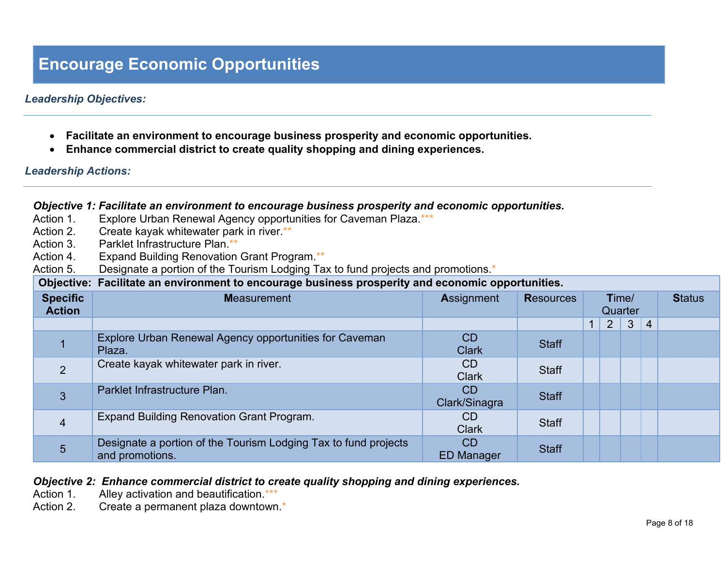### **Encourage Economic Opportunities**

#### *Leadership Objectives:*

- **Facilitate an environment to encourage business prosperity and economic opportunities.**
- **Enhance commercial district to create quality shopping and dining experiences.**

#### *Leadership Actions:*

#### *Objective 1: Facilitate an environment to encourage business prosperity and economic opportunities.*

- Action 1. Explore Urban Renewal Agency opportunities for Caveman Plaza.\*\*\*
- Action 2. Create kayak whitewater park in river.\*\*
- Action 3. Parklet Infrastructure Plan.\*\*
- Action 4. Expand Building Renovation Grant Program.\*\*
- Action 5. Designate a portion of the Tourism Lodging Tax to fund projects and promotions.<sup>\*</sup>

**Objective: Facilitate an environment to encourage business prosperity and economic opportunities.**

| <u>. womano an oni nomioni ao onoomingo wwomooo proopority and ooomomoo opportanesi</u> |                                                                                    |                                |                  |              |                |                  |                |               |  |  |  |  |
|-----------------------------------------------------------------------------------------|------------------------------------------------------------------------------------|--------------------------------|------------------|--------------|----------------|------------------|----------------|---------------|--|--|--|--|
| <b>Specific</b><br><b>Action</b>                                                        | <b>Measurement</b>                                                                 | <b>Assignment</b>              | <b>Resources</b> |              |                | Time/<br>Quarter |                | <b>Status</b> |  |  |  |  |
|                                                                                         |                                                                                    |                                |                  | $\mathbf{1}$ | $\overline{2}$ | $\mathbf{3}$     | $\overline{4}$ |               |  |  |  |  |
|                                                                                         | Explore Urban Renewal Agency opportunities for Caveman<br>Plaza.                   | <b>CD</b><br><b>Clark</b>      | <b>Staff</b>     |              |                |                  |                |               |  |  |  |  |
| 2                                                                                       | Create kayak whitewater park in river.                                             | CD<br><b>Clark</b>             | <b>Staff</b>     |              |                |                  |                |               |  |  |  |  |
| 3                                                                                       | Parklet Infrastructure Plan.                                                       | <b>CD</b><br>Clark/Sinagra     | <b>Staff</b>     |              |                |                  |                |               |  |  |  |  |
| $\overline{4}$                                                                          | Expand Building Renovation Grant Program.                                          | CD.<br><b>Clark</b>            | <b>Staff</b>     |              |                |                  |                |               |  |  |  |  |
| $5\phantom{.}$                                                                          | Designate a portion of the Tourism Lodging Tax to fund projects<br>and promotions. | <b>CD</b><br><b>ED Manager</b> | <b>Staff</b>     |              |                |                  |                |               |  |  |  |  |

#### *Objective 2: Enhance commercial district to create quality shopping and dining experiences.*

- Action 1. Alley activation and beautification.\*\*\*
- Action 2. Create a permanent plaza downtown.<sup>\*</sup>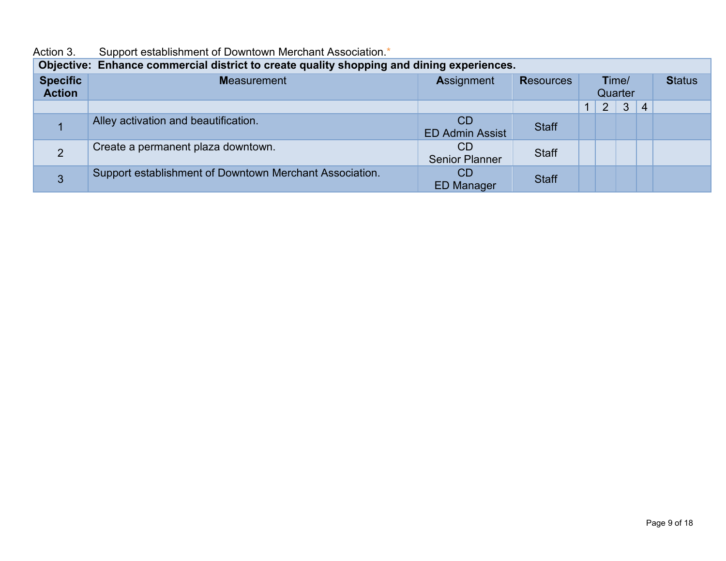| Objective: Enhance commercial district to create quality shopping and dining experiences. |                                                         |                              |                  |                  |                |              |                |  |  |  |  |
|-------------------------------------------------------------------------------------------|---------------------------------------------------------|------------------------------|------------------|------------------|----------------|--------------|----------------|--|--|--|--|
| <b>Specific</b><br><b>Action</b>                                                          | <b>Measurement</b>                                      | <b>Assignment</b>            | <b>Resources</b> | Time/<br>Quarter |                |              | <b>Status</b>  |  |  |  |  |
|                                                                                           |                                                         |                              |                  | $\mathbf{1}$     | $\overline{2}$ | $\mathbf{3}$ | $\overline{4}$ |  |  |  |  |
|                                                                                           | Alley activation and beautification.                    | CD<br><b>ED Admin Assist</b> | <b>Staff</b>     |                  |                |              |                |  |  |  |  |
|                                                                                           | Create a permanent plaza downtown.                      | CD<br><b>Senior Planner</b>  | <b>Staff</b>     |                  |                |              |                |  |  |  |  |
|                                                                                           | Support establishment of Downtown Merchant Association. | CD<br><b>ED Manager</b>      | <b>Staff</b>     |                  |                |              |                |  |  |  |  |

#### Action 3. Support establishment of Downtown Merchant Association.<sup>\*</sup>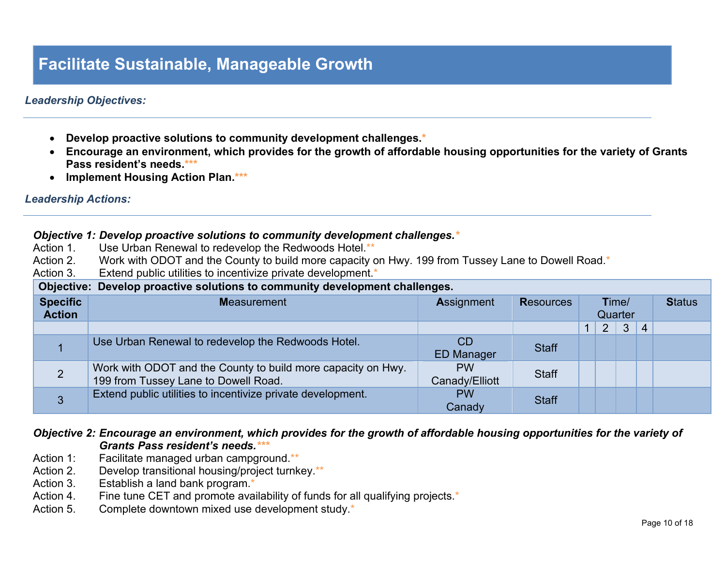### **Facilitate Sustainable, Manageable Growth**

#### *Leadership Objectives:*

- **Develop proactive solutions to community development challenges.\***
- **Encourage an environment, which provides for the growth of affordable housing opportunities for the variety of Grants Pass resident's needs.\*\*\***
- **Implement Housing Action Plan.\*\*\***

#### *Leadership Actions:*

|                                  | Objective 1: Develop proactive solutions to community development challenges.*<br>Use Urban Renewal to redevelop the Redwoods Hotel.**<br>Action 1. |                             |                  |  |             |       |                |               |  |  |
|----------------------------------|-----------------------------------------------------------------------------------------------------------------------------------------------------|-----------------------------|------------------|--|-------------|-------|----------------|---------------|--|--|
| Action 2.                        | Work with ODOT and the County to build more capacity on Hwy. 199 from Tussey Lane to Dowell Road.*                                                  |                             |                  |  |             |       |                |               |  |  |
| Action 3.                        | Extend public utilities to incentivize private development.*                                                                                        |                             |                  |  |             |       |                |               |  |  |
|                                  | Objective: Develop proactive solutions to community development challenges.                                                                         |                             |                  |  |             |       |                |               |  |  |
| <b>Specific</b><br><b>Action</b> | <b>Measurement</b>                                                                                                                                  | <b>Assignment</b>           | <b>Resources</b> |  | Quarter     | Time/ |                | <b>Status</b> |  |  |
|                                  |                                                                                                                                                     |                             |                  |  | $2^{\circ}$ | 3     | $\overline{4}$ |               |  |  |
|                                  | Use Urban Renewal to redevelop the Redwoods Hotel.                                                                                                  | CD<br><b>ED Manager</b>     | <b>Staff</b>     |  |             |       |                |               |  |  |
| $\overline{2}$                   | Work with ODOT and the County to build more capacity on Hwy.<br>199 from Tussey Lane to Dowell Road.                                                | <b>PW</b><br>Canady/Elliott | <b>Staff</b>     |  |             |       |                |               |  |  |
| 3                                | Extend public utilities to incentivize private development.                                                                                         | <b>PW</b><br>Canady         | <b>Staff</b>     |  |             |       |                |               |  |  |

#### *Objective 2: Encourage an environment, which provides for the growth of affordable housing opportunities for the variety of Grants Pass resident's needs.\*\*\**

- Action 1: Facilitate managed urban campground.\*\*
- Action 2. Develop transitional housing/project turnkey.\*\*
- Action 3. Establish a land bank program.\*
- Action 4. Fine tune CET and promote availability of funds for all qualifying projects.\*
- Action 5. Complete downtown mixed use development study.<sup>\*</sup>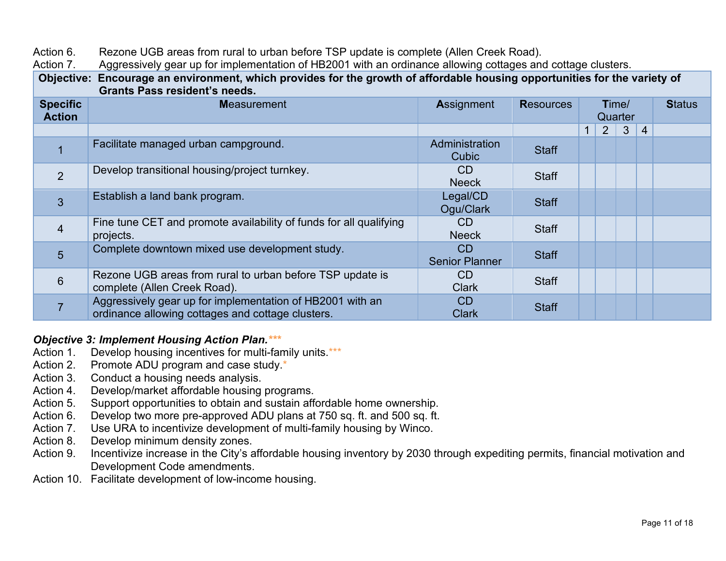Action 6. Rezone UGB areas from rural to urban before TSP update is complete (Allen Creek Road).

Action 7. Aggressively gear up for implementation of HB2001 with an ordinance allowing cottages and cottage clusters.

**Objective: Encourage an environment, which provides for the growth of affordable housing opportunities for the variety of Grants Pass resident's needs.**

| <b>Specific</b> | <b>Measurement</b>                                                                                             | <b>Assignment</b>           | <b>Resources</b> |                | Time/        |                | <b>Status</b> |
|-----------------|----------------------------------------------------------------------------------------------------------------|-----------------------------|------------------|----------------|--------------|----------------|---------------|
| <b>Action</b>   |                                                                                                                |                             |                  | Quarter        |              |                |               |
|                 |                                                                                                                |                             |                  | 2 <sup>2</sup> | $\mathbf{3}$ | $\overline{4}$ |               |
|                 | Facilitate managed urban campground.                                                                           | Administration<br>Cubic     | <b>Staff</b>     |                |              |                |               |
| 2               | Develop transitional housing/project turnkey.                                                                  | CD<br><b>Neeck</b>          | <b>Staff</b>     |                |              |                |               |
| 3               | Establish a land bank program.                                                                                 | Legal/CD<br>Ogu/Clark       | <b>Staff</b>     |                |              |                |               |
| $\overline{4}$  | Fine tune CET and promote availability of funds for all qualifying<br>projects.                                | CD.<br><b>Neeck</b>         | <b>Staff</b>     |                |              |                |               |
| 5               | Complete downtown mixed use development study.                                                                 | CD<br><b>Senior Planner</b> | <b>Staff</b>     |                |              |                |               |
| $6\phantom{1}$  | Rezone UGB areas from rural to urban before TSP update is<br>complete (Allen Creek Road).                      | <b>CD</b><br><b>Clark</b>   | <b>Staff</b>     |                |              |                |               |
|                 | Aggressively gear up for implementation of HB2001 with an<br>ordinance allowing cottages and cottage clusters. | CD<br><b>Clark</b>          | <b>Staff</b>     |                |              |                |               |

# *Objective 3: Implement Housing Action Plan.\*\*\**

- Develop housing incentives for multi-family units.\*\*\*
- Action 2. Promote ADU program and case study.<sup>\*</sup>
- Action 3. Conduct a housing needs analysis.
- Action 4. Develop/market affordable housing programs.
- Action 5. Support opportunities to obtain and sustain affordable home ownership.
- Action 6. Develop two more pre-approved ADU plans at 750 sq. ft. and 500 sq. ft.
- Action 7. Use URA to incentivize development of multi-family housing by Winco.
- Action 8. Develop minimum density zones.
- Action 9. Incentivize increase in the City's affordable housing inventory by 2030 through expediting permits, financial motivation and Development Code amendments.
- Action 10. Facilitate development of low-income housing.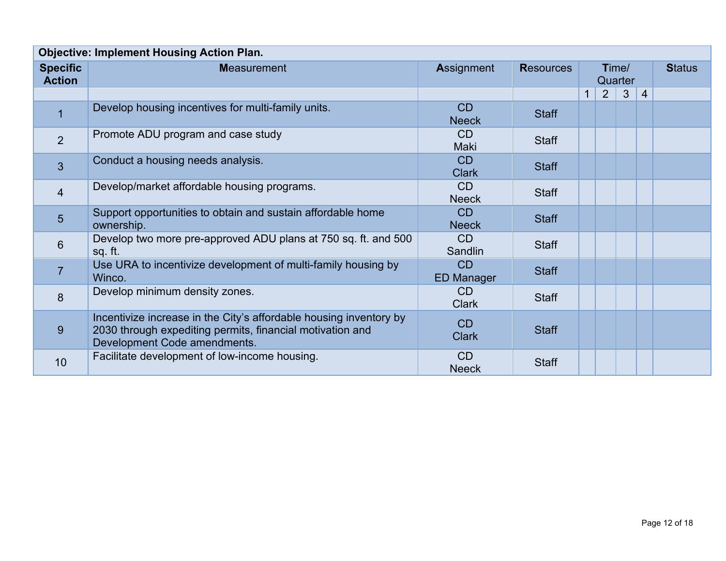|                                  | <b>Objective: Implement Housing Action Plan.</b>                                                                                                                |                           |                  |              |                  |              |                |  |  |  |
|----------------------------------|-----------------------------------------------------------------------------------------------------------------------------------------------------------------|---------------------------|------------------|--------------|------------------|--------------|----------------|--|--|--|
| <b>Specific</b><br><b>Action</b> | <b>Measurement</b>                                                                                                                                              | Assignment                | <b>Resources</b> |              | Time/<br>Quarter |              | <b>Status</b>  |  |  |  |
|                                  |                                                                                                                                                                 |                           |                  | $\mathbf{1}$ | $\overline{2}$   | $\mathbf{3}$ | $\overline{4}$ |  |  |  |
| $\overline{1}$                   | Develop housing incentives for multi-family units.                                                                                                              | CD<br><b>Neeck</b>        | <b>Staff</b>     |              |                  |              |                |  |  |  |
| 2                                | Promote ADU program and case study                                                                                                                              | <b>CD</b><br>Maki         | <b>Staff</b>     |              |                  |              |                |  |  |  |
| $\overline{3}$                   | Conduct a housing needs analysis.                                                                                                                               | CD<br><b>Clark</b>        | <b>Staff</b>     |              |                  |              |                |  |  |  |
| $\overline{4}$                   | Develop/market affordable housing programs.                                                                                                                     | CD<br><b>Neeck</b>        | <b>Staff</b>     |              |                  |              |                |  |  |  |
| $5\phantom{1}$                   | Support opportunities to obtain and sustain affordable home<br>ownership.                                                                                       | CD<br><b>Neeck</b>        | <b>Staff</b>     |              |                  |              |                |  |  |  |
| $6\phantom{1}$                   | Develop two more pre-approved ADU plans at 750 sq. ft. and 500<br>sq. ft.                                                                                       | <b>CD</b><br>Sandlin      | <b>Staff</b>     |              |                  |              |                |  |  |  |
| $\overline{7}$                   | Use URA to incentivize development of multi-family housing by<br>Winco.                                                                                         | CD<br><b>ED Manager</b>   | <b>Staff</b>     |              |                  |              |                |  |  |  |
| 8                                | Develop minimum density zones.                                                                                                                                  | <b>CD</b><br><b>Clark</b> | <b>Staff</b>     |              |                  |              |                |  |  |  |
| 9                                | Incentivize increase in the City's affordable housing inventory by<br>2030 through expediting permits, financial motivation and<br>Development Code amendments. | CD<br><b>Clark</b>        | <b>Staff</b>     |              |                  |              |                |  |  |  |
| 10                               | Facilitate development of low-income housing.                                                                                                                   | <b>CD</b><br><b>Neeck</b> | <b>Staff</b>     |              |                  |              |                |  |  |  |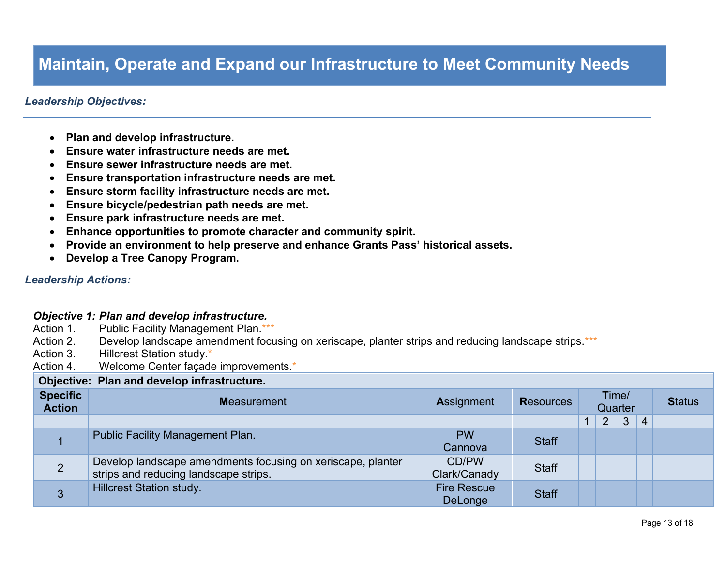### **Maintain, Operate and Expand our Infrastructure to Meet Community Needs**

#### *Leadership Objectives:*

- **Plan and develop infrastructure.**
- **Ensure water infrastructure needs are met.**
- **Ensure sewer infrastructure needs are met.**
- **Ensure transportation infrastructure needs are met.**
- **Ensure storm facility infrastructure needs are met.**
- **Ensure bicycle/pedestrian path needs are met.**
- **Ensure park infrastructure needs are met.**
- **Enhance opportunities to promote character and community spirit.**
- **Provide an environment to help preserve and enhance Grants Pass' historical assets.**
- **Develop a Tree Canopy Program.**

#### *Leadership Actions:*

#### *Objective 1: Plan and develop infrastructure.*

| Action 1.                        | <b>Public Facility Management Plan.***</b>                                                           |                                      |                  |                |                |                |               |
|----------------------------------|------------------------------------------------------------------------------------------------------|--------------------------------------|------------------|----------------|----------------|----------------|---------------|
| Action 2.                        | Develop landscape amendment focusing on xeriscape, planter strips and reducing landscape strips.***  |                                      |                  |                |                |                |               |
| Action 3.                        | <b>Hillcrest Station study.</b> *                                                                    |                                      |                  |                |                |                |               |
| Action 4.                        | Welcome Center façade improvements.*                                                                 |                                      |                  |                |                |                |               |
|                                  | Objective: Plan and develop infrastructure.                                                          |                                      |                  |                |                |                |               |
| <b>Specific</b><br><b>Action</b> | <b>Measurement</b>                                                                                   | <b>Assignment</b>                    | <b>Resources</b> | Quarter        | Time/          |                | <b>Status</b> |
|                                  |                                                                                                      |                                      |                  | 2 <sup>1</sup> | 3 <sup>5</sup> | $\overline{4}$ |               |
|                                  | <b>Public Facility Management Plan.</b>                                                              | <b>PW</b><br>Cannova                 | <b>Staff</b>     |                |                |                |               |
| $\overline{2}$                   | Develop landscape amendments focusing on xeriscape, planter<br>strips and reducing landscape strips. | CD/PW<br>Clark/Canady                | <b>Staff</b>     |                |                |                |               |
| 3                                | <b>Hillcrest Station study.</b>                                                                      | <b>Fire Rescue</b><br><b>DeLonge</b> | <b>Staff</b>     |                |                |                |               |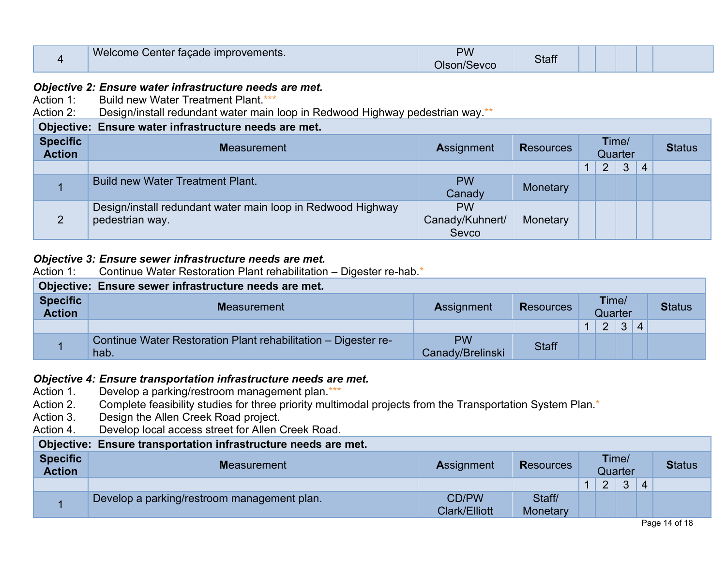| 4                                | Welcome Center façade improvements.                                                                                                                                                       | <b>PW</b><br>Olson/Sevco | <b>Staff</b>     |  |                |                  |                |               |  |  |  |
|----------------------------------|-------------------------------------------------------------------------------------------------------------------------------------------------------------------------------------------|--------------------------|------------------|--|----------------|------------------|----------------|---------------|--|--|--|
| Action 2:                        | Objective 2: Ensure water infrastructure needs are met.<br>Action 1: Build new Water Treatment Plant ***<br>Design/install redundant water main loop in Redwood Highway pedestrian way.** |                          |                  |  |                |                  |                |               |  |  |  |
|                                  | Objective: Ensure water infrastructure needs are met.                                                                                                                                     |                          |                  |  |                |                  |                |               |  |  |  |
| <b>Specific</b><br><b>Action</b> | <b>Measurement</b>                                                                                                                                                                        | <b>Assignment</b>        | <b>Resources</b> |  |                | Time/<br>Quarter |                | <b>Status</b> |  |  |  |
|                                  |                                                                                                                                                                                           |                          |                  |  |                |                  |                |               |  |  |  |
|                                  |                                                                                                                                                                                           |                          |                  |  | $\overline{2}$ | $\mathbf{3}$     | $\overline{4}$ |               |  |  |  |
|                                  | <b>Build new Water Treatment Plant.</b>                                                                                                                                                   | <b>PW</b><br>Canady      | Monetary         |  |                |                  |                |               |  |  |  |

#### *Objective 3: Ensure sewer infrastructure needs are met.*

| Action 1:                                             | Continue Water Restoration Plant rehabilitation – Digester re-hab.*             |                               |              |  |   |   |                |  |  |  |
|-------------------------------------------------------|---------------------------------------------------------------------------------|-------------------------------|--------------|--|---|---|----------------|--|--|--|
| Objective: Ensure sewer infrastructure needs are met. |                                                                                 |                               |              |  |   |   |                |  |  |  |
| <b>Specific</b><br><b>Action</b>                      | Time/<br><b>Measurement</b><br><b>Resources</b><br><b>Assignment</b><br>Quarter |                               |              |  |   |   |                |  |  |  |
|                                                       |                                                                                 |                               |              |  | 2 | 3 | $\overline{4}$ |  |  |  |
|                                                       | Continue Water Restoration Plant rehabilitation - Digester re-<br>hab.          | <b>PW</b><br>Canady/Brelinski | <b>Staff</b> |  |   |   |                |  |  |  |

# **Objective 4: Ensure transportation infrastructure needs are met.**<br>Action 1. Develop a parking/restroom management plan.\*\*\*

- Action 1. Develop a parking/restroom management plan.\*\*\*<br>Action 2. Complete feasibility studies for three priority multir
- Action 2. Complete feasibility studies for three priority multimodal projects from the Transportation System Plan.<sup>\*</sup><br>Action 3. Design the Allen Creek Road project.
- Design the Allen Creek Road project.
- Action 4. Develop local access street for Allen Creek Road.

| Objective: Ensure transportation infrastructure needs are met. |                                             |                               |                    |  |               |          |   |               |  |  |  |
|----------------------------------------------------------------|---------------------------------------------|-------------------------------|--------------------|--|---------------|----------|---|---------------|--|--|--|
| <b>Specific</b><br><b>Action</b>                               | <b>Measurement</b>                          | <b>Assignment</b>             | <b>Resources</b>   |  | Time/         | Quarter  |   | <b>Status</b> |  |  |  |
|                                                                |                                             |                               |                    |  | $\mathcal{D}$ | $\Omega$ | 4 |               |  |  |  |
|                                                                | Develop a parking/restroom management plan. | CD/PW<br><b>Clark/Elliott</b> | Staff/<br>Monetary |  |               |          |   |               |  |  |  |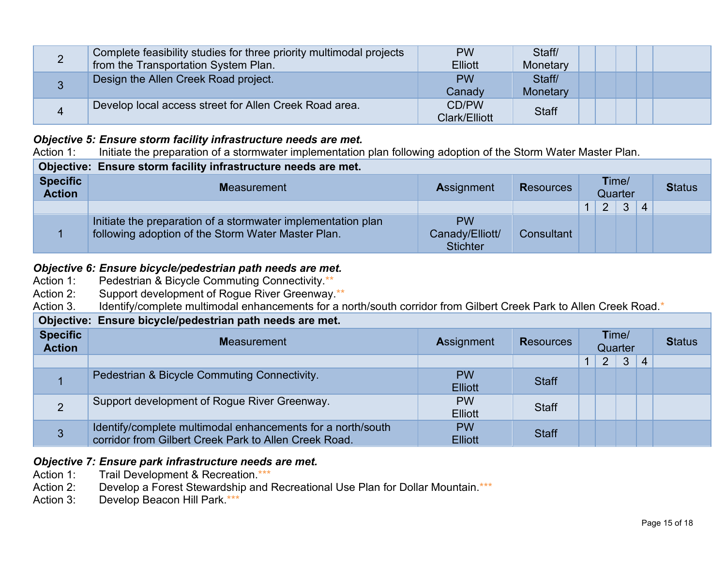| Complete feasibility studies for three priority multimodal projects | <b>PW</b>      | Staff/       |  |  |  |
|---------------------------------------------------------------------|----------------|--------------|--|--|--|
| from the Transportation System Plan.                                | <b>Elliott</b> | Monetary     |  |  |  |
| Design the Allen Creek Road project.                                | <b>PW</b>      | Staff/       |  |  |  |
|                                                                     | Canady         | Monetary     |  |  |  |
| Develop local access street for Allen Creek Road area.              | CD/PW          | <b>Staff</b> |  |  |  |
|                                                                     | Clark/Elliott  |              |  |  |  |

# *Objective 5: Ensure storm facility infrastructure needs are met.***<br>Action 1: Initiate the preparation of a stormwater implementation**

Initiate the preparation of a stormwater implementation plan following adoption of the Storm Water Master Plan.

| Objective: Ensure storm facility infrastructure needs are met. |                                                                                                                    |                                                 |                  |  |                |                  |                           |  |  |  |
|----------------------------------------------------------------|--------------------------------------------------------------------------------------------------------------------|-------------------------------------------------|------------------|--|----------------|------------------|---------------------------|--|--|--|
| <b>Specific</b><br><b>Action</b>                               | <b>Measurement</b>                                                                                                 | <b>Assignment</b>                               | <b>Resources</b> |  |                | Time/<br>Quarter | <b>Status</b>             |  |  |  |
|                                                                |                                                                                                                    |                                                 |                  |  | $\overline{2}$ | $\mathbf{3}$     | $\boldsymbol{\varLambda}$ |  |  |  |
|                                                                | Initiate the preparation of a stormwater implementation plan<br>following adoption of the Storm Water Master Plan. | <b>PW</b><br>Canady/Elliott/<br><b>Stichter</b> | Consultant       |  |                |                  |                           |  |  |  |

### **Objective 6: Ensure bicycle/pedestrian path needs are met.**<br>Action 1: Pedestrian & Bicycle Commuting Connectivity.\*\*

- Pedestrian & Bicycle Commuting Connectivity.\*\*
- Action 2: Support development of Rogue River Greenway.\*\*

Action 3. Identify/complete multimodal enhancements for a north/south corridor from Gilbert Creek Park to Allen Creek Road.\*

#### **Objective: Ensure bicycle/pedestrian path needs are met.**

| <b>Specific</b><br><b>Action</b> | <b>Measurement</b>                                                                                                   | <b>Assignment</b>           | <b>Resources</b> | Time/<br>Quarter |                |              |                |  |  |  |  |
|----------------------------------|----------------------------------------------------------------------------------------------------------------------|-----------------------------|------------------|------------------|----------------|--------------|----------------|--|--|--|--|
|                                  |                                                                                                                      |                             |                  |                  | $\overline{2}$ | $\mathbf{3}$ | $\overline{4}$ |  |  |  |  |
|                                  | Pedestrian & Bicycle Commuting Connectivity.                                                                         | <b>PW</b><br><b>Elliott</b> | <b>Staff</b>     |                  |                |              |                |  |  |  |  |
|                                  | Support development of Rogue River Greenway.                                                                         | <b>PW</b><br><b>Elliott</b> | <b>Staff</b>     |                  |                |              |                |  |  |  |  |
| 3                                | Identify/complete multimodal enhancements for a north/south<br>corridor from Gilbert Creek Park to Allen Creek Road. | <b>PW</b><br><b>Elliott</b> | <b>Staff</b>     |                  |                |              |                |  |  |  |  |

#### *Objective 7: Ensure park infrastructure needs are met.*

- Action 1: Trail Development & Recreation.\*\*\*
- Action 2: Develop a Forest Stewardship and Recreational Use Plan for Dollar Mountain.\*\*\*
- Action 3: Develop Beacon Hill Park. \*\*\*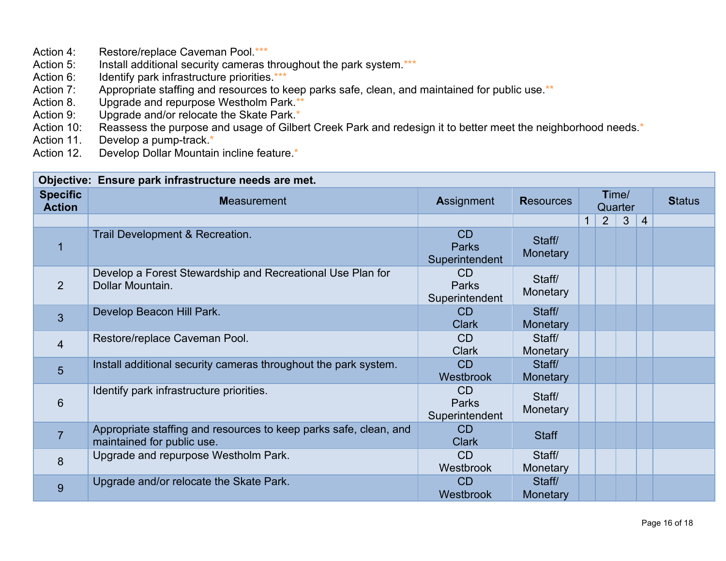- Action 4: Restore/replace Caveman Pool.\*\*\*<br>Action 5: Install additional security cameras t
- Action 5: Install additional security cameras throughout the park system.\*\*\*<br>Action 6: Identify park infrastructure priorities.\*\*\*
- Identify park infrastructure priorities.\*\*\*
- Action 7: Appropriate staffing and resources to keep parks safe, clean, and maintained for public use.\*\*
- Action 8. Upgrade and repurpose Westholm Park.\*\*<br>Action 9: Upgrade and/or relocate the Skate Park.\*
- Upgrade and/or relocate the Skate Park.\*
- Action 10: Reassess the purpose and usage of Gilbert Creek Park and redesign it to better meet the neighborhood needs.<sup>\*</sup>
- Action 11. Develop a pump-track.\*<br>Action 12. Develop Dollar Mountain
- Develop Dollar Mountain incline feature.\*

|                                  | Objective: Ensure park infrastructure needs are met.                                            |                                                  |                    |              |                  |                |                |  |               |
|----------------------------------|-------------------------------------------------------------------------------------------------|--------------------------------------------------|--------------------|--------------|------------------|----------------|----------------|--|---------------|
| <b>Specific</b><br><b>Action</b> | <b>Measurement</b>                                                                              | <b>Assignment</b>                                | <b>Resources</b>   |              | Time/<br>Quarter |                |                |  | <b>Status</b> |
|                                  |                                                                                                 |                                                  |                    | $\mathbf{1}$ | $\overline{2}$   | 3 <sup>2</sup> | $\overline{4}$ |  |               |
| 1                                | Trail Development & Recreation.                                                                 | CD<br><b>Parks</b><br>Superintendent             | Staff/<br>Monetary |              |                  |                |                |  |               |
| 2                                | Develop a Forest Stewardship and Recreational Use Plan for<br>Dollar Mountain.                  | C <sub>D</sub><br><b>Parks</b><br>Superintendent | Staff/<br>Monetary |              |                  |                |                |  |               |
| 3                                | Develop Beacon Hill Park.                                                                       | CD<br><b>Clark</b>                               | Staff/<br>Monetary |              |                  |                |                |  |               |
| $\overline{4}$                   | Restore/replace Caveman Pool.                                                                   | CD<br><b>Clark</b>                               | Staff/<br>Monetary |              |                  |                |                |  |               |
| 5                                | Install additional security cameras throughout the park system.                                 | CD<br>Westbrook                                  | Staff/<br>Monetary |              |                  |                |                |  |               |
| 6                                | Identify park infrastructure priorities.                                                        | CD<br><b>Parks</b><br>Superintendent             | Staff/<br>Monetary |              |                  |                |                |  |               |
| $\overline{7}$                   | Appropriate staffing and resources to keep parks safe, clean, and<br>maintained for public use. | C <sub>D</sub><br><b>Clark</b>                   | <b>Staff</b>       |              |                  |                |                |  |               |
| 8                                | Upgrade and repurpose Westholm Park.                                                            | CD<br>Westbrook                                  | Staff/<br>Monetary |              |                  |                |                |  |               |
| 9                                | Upgrade and/or relocate the Skate Park.                                                         | CD<br>Westbrook                                  | Staff/<br>Monetary |              |                  |                |                |  |               |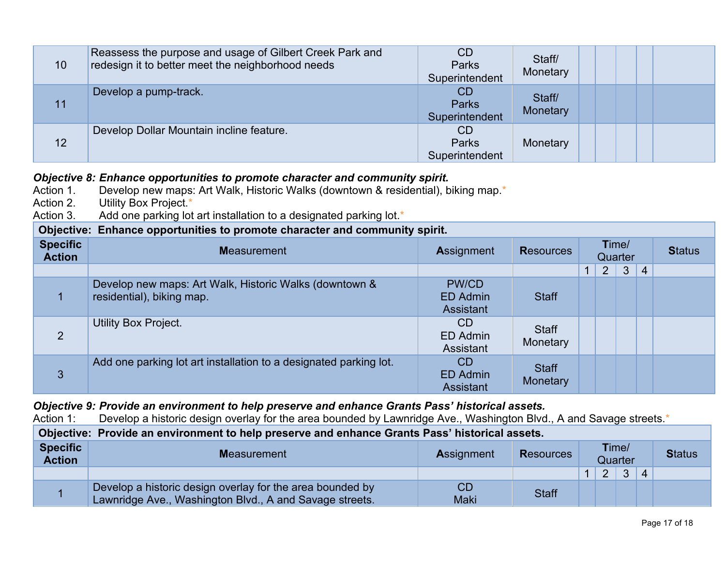| 10 | Reassess the purpose and usage of Gilbert Creek Park and<br>redesign it to better meet the neighborhood needs | <b>CD</b><br><b>Parks</b><br>Superintendent | Staff/<br>Monetary |
|----|---------------------------------------------------------------------------------------------------------------|---------------------------------------------|--------------------|
| 11 | Develop a pump-track.                                                                                         | <b>CD</b><br><b>Parks</b><br>Superintendent | Staff/<br>Monetary |
| 12 | Develop Dollar Mountain incline feature.                                                                      | <b>CD</b><br><b>Parks</b><br>Superintendent | Monetary           |

#### *Objective 8: Enhance opportunities to promote character and community spirit.*

| -~~~~~~~                         |                                                                                     |                                              |                          |                |                |                |               |
|----------------------------------|-------------------------------------------------------------------------------------|----------------------------------------------|--------------------------|----------------|----------------|----------------|---------------|
| Action 1.                        | Develop new maps: Art Walk, Historic Walks (downtown & residential), biking map.*   |                                              |                          |                |                |                |               |
| Action 2.                        | Utility Box Project.*                                                               |                                              |                          |                |                |                |               |
| Action 3.                        | Add one parking lot art installation to a designated parking lot.*                  |                                              |                          |                |                |                |               |
|                                  | Objective: Enhance opportunities to promote character and community spirit.         |                                              |                          |                |                |                |               |
| <b>Specific</b><br><b>Action</b> | <b>Measurement</b>                                                                  | <b>Assignment</b>                            | <b>Resources</b>         | <b>Quarter</b> | Time/          |                | <b>Status</b> |
|                                  |                                                                                     |                                              |                          | 2 <sup>1</sup> | 3 <sup>5</sup> | $\overline{4}$ |               |
|                                  | Develop new maps: Art Walk, Historic Walks (downtown &<br>residential), biking map. | PW/CD<br><b>ED Admin</b><br><b>Assistant</b> | <b>Staff</b>             |                |                |                |               |
| 2                                | <b>Utility Box Project.</b>                                                         | <b>CD</b><br>ED Admin<br>Assistant           | <b>Staff</b><br>Monetary |                |                |                |               |
| 3                                | Add one parking lot art installation to a designated parking lot.                   | CD<br><b>ED Admin</b><br><b>Assistant</b>    | <b>Staff</b><br>Monetary |                |                |                |               |

#### *Objective 9: Provide an environment to help preserve and enhance Grants Pass' historical assets.*

Action 1: Develop a historic design overlay for the area bounded by Lawnridge Ave., Washington Blvd., A and Savage streets.\*

| Objective: Provide an environment to help preserve and enhance Grants Pass' historical assets. |                                                                                                                      |                   |                  |  |               |                  |                    |               |  |  |  |
|------------------------------------------------------------------------------------------------|----------------------------------------------------------------------------------------------------------------------|-------------------|------------------|--|---------------|------------------|--------------------|---------------|--|--|--|
| <b>Specific</b><br><b>Action</b>                                                               | <b>Measurement</b>                                                                                                   | <b>Assignment</b> | <b>Resources</b> |  |               | Time/<br>Quarter |                    | <b>Status</b> |  |  |  |
|                                                                                                |                                                                                                                      |                   |                  |  | $\mathcal{P}$ | $\mathcal{R}$    | $\mathbf{\Lambda}$ |               |  |  |  |
|                                                                                                | Develop a historic design overlay for the area bounded by<br>Lawnridge Ave., Washington Blvd., A and Savage streets. | CD<br><b>Maki</b> | <b>Staff</b>     |  |               |                  |                    |               |  |  |  |